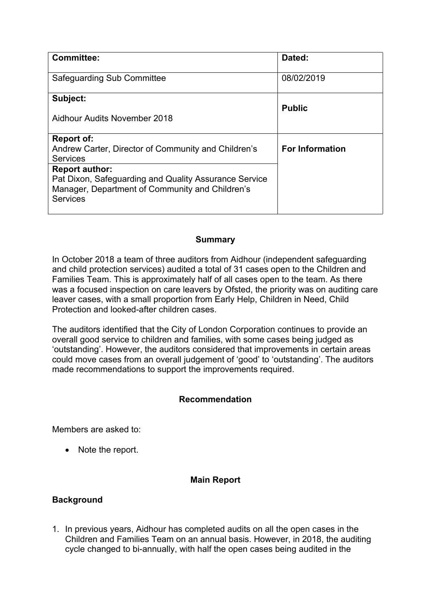| <b>Committee:</b>                                                                                                                                    | Dated:                 |
|------------------------------------------------------------------------------------------------------------------------------------------------------|------------------------|
| Safeguarding Sub Committee                                                                                                                           | 08/02/2019             |
| Subject:<br>Aidhour Audits November 2018                                                                                                             | <b>Public</b>          |
| Report of:<br>Andrew Carter, Director of Community and Children's<br><b>Services</b>                                                                 | <b>For Information</b> |
| <b>Report author:</b><br>Pat Dixon, Safeguarding and Quality Assurance Service<br>Manager, Department of Community and Children's<br><b>Services</b> |                        |

## **Summary**

In October 2018 a team of three auditors from Aidhour (independent safeguarding and child protection services) audited a total of 31 cases open to the Children and Families Team. This is approximately half of all cases open to the team. As there was a focused inspection on care leavers by Ofsted, the priority was on auditing care leaver cases, with a small proportion from Early Help, Children in Need, Child Protection and looked-after children cases.

The auditors identified that the City of London Corporation continues to provide an overall good service to children and families, with some cases being judged as 'outstanding'. However, the auditors considered that improvements in certain areas could move cases from an overall judgement of 'good' to 'outstanding'. The auditors made recommendations to support the improvements required.

### **Recommendation**

Members are asked to:

• Note the report.

### **Main Report**

### **Background**

1. In previous years, Aidhour has completed audits on all the open cases in the Children and Families Team on an annual basis. However, in 2018, the auditing cycle changed to bi-annually, with half the open cases being audited in the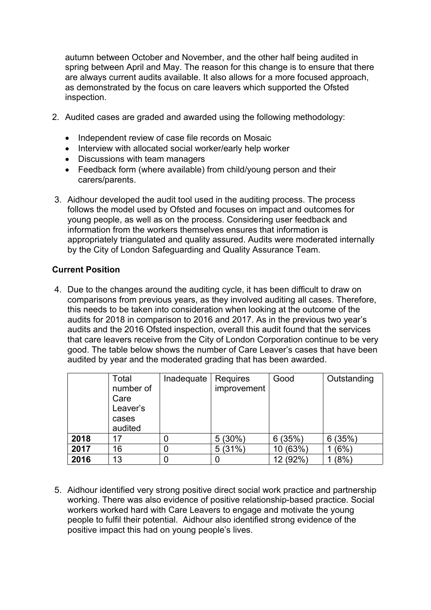autumn between October and November, and the other half being audited in spring between April and May. The reason for this change is to ensure that there are always current audits available. It also allows for a more focused approach, as demonstrated by the focus on care leavers which supported the Ofsted inspection.

- 2. Audited cases are graded and awarded using the following methodology:
	- Independent review of case file records on Mosaic
	- Interview with allocated social worker/early help worker
	- Discussions with team managers
	- Feedback form (where available) from child/young person and their carers/parents.
- 3. Aidhour developed the audit tool used in the auditing process. The process follows the model used by Ofsted and focuses on impact and outcomes for young people, as well as on the process. Considering user feedback and information from the workers themselves ensures that information is appropriately triangulated and quality assured. Audits were moderated internally by the City of London Safeguarding and Quality Assurance Team.

## **Current Position**

4. Due to the changes around the auditing cycle, it has been difficult to draw on comparisons from previous years, as they involved auditing all cases. Therefore, this needs to be taken into consideration when looking at the outcome of the audits for 2018 in comparison to 2016 and 2017. As in the previous two year's audits and the 2016 Ofsted inspection, overall this audit found that the services that care leavers receive from the City of London Corporation continue to be very good. The table below shows the number of Care Leaver's cases that have been audited by year and the moderated grading that has been awarded.

|      | Total<br>number of<br>Care<br>Leaver's<br>cases<br>audited | Inadequate | Requires<br>improvement | Good     | Outstanding |
|------|------------------------------------------------------------|------------|-------------------------|----------|-------------|
| 2018 | 17                                                         |            | 5(30%)                  | 6(35%)   | (35%)<br>6  |
| 2017 | 16                                                         | 0          | (31%)<br>5              | 10 (63%) | (6%)        |
| 2016 | 13                                                         |            |                         | 12 (92%) | $(8\%)$     |

5. Aidhour identified very strong positive direct social work practice and partnership working. There was also evidence of positive relationship-based practice. Social workers worked hard with Care Leavers to engage and motivate the young people to fulfil their potential. Aidhour also identified strong evidence of the positive impact this had on young people's lives.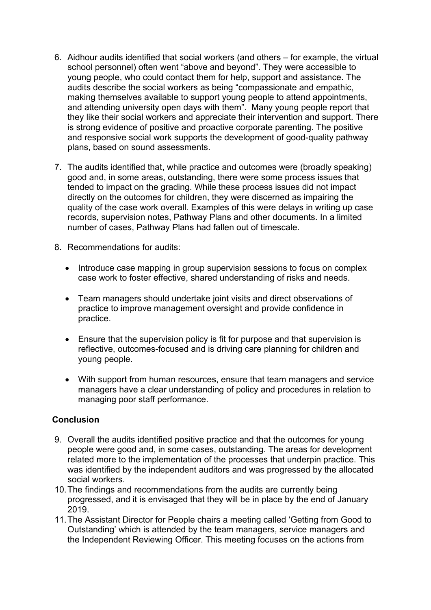- 6. Aidhour audits identified that social workers (and others for example, the virtual school personnel) often went "above and beyond". They were accessible to young people, who could contact them for help, support and assistance. The audits describe the social workers as being "compassionate and empathic, making themselves available to support young people to attend appointments, and attending university open days with them". Many young people report that they like their social workers and appreciate their intervention and support. There is strong evidence of positive and proactive corporate parenting. The positive and responsive social work supports the development of good-quality pathway plans, based on sound assessments.
- 7. The audits identified that, while practice and outcomes were (broadly speaking) good and, in some areas, outstanding, there were some process issues that tended to impact on the grading. While these process issues did not impact directly on the outcomes for children, they were discerned as impairing the quality of the case work overall. Examples of this were delays in writing up case records, supervision notes, Pathway Plans and other documents. In a limited number of cases, Pathway Plans had fallen out of timescale.
- 8. Recommendations for audits:
	- Introduce case mapping in group supervision sessions to focus on complex case work to foster effective, shared understanding of risks and needs.
	- Team managers should undertake joint visits and direct observations of practice to improve management oversight and provide confidence in practice.
	- Ensure that the supervision policy is fit for purpose and that supervision is reflective, outcomes-focused and is driving care planning for children and young people.
	- With support from human resources, ensure that team managers and service managers have a clear understanding of policy and procedures in relation to managing poor staff performance.

## **Conclusion**

- 9. Overall the audits identified positive practice and that the outcomes for young people were good and, in some cases, outstanding. The areas for development related more to the implementation of the processes that underpin practice. This was identified by the independent auditors and was progressed by the allocated social workers.
- 10.The findings and recommendations from the audits are currently being progressed, and it is envisaged that they will be in place by the end of January 2019.
- 11.The Assistant Director for People chairs a meeting called 'Getting from Good to Outstanding' which is attended by the team managers, service managers and the Independent Reviewing Officer. This meeting focuses on the actions from